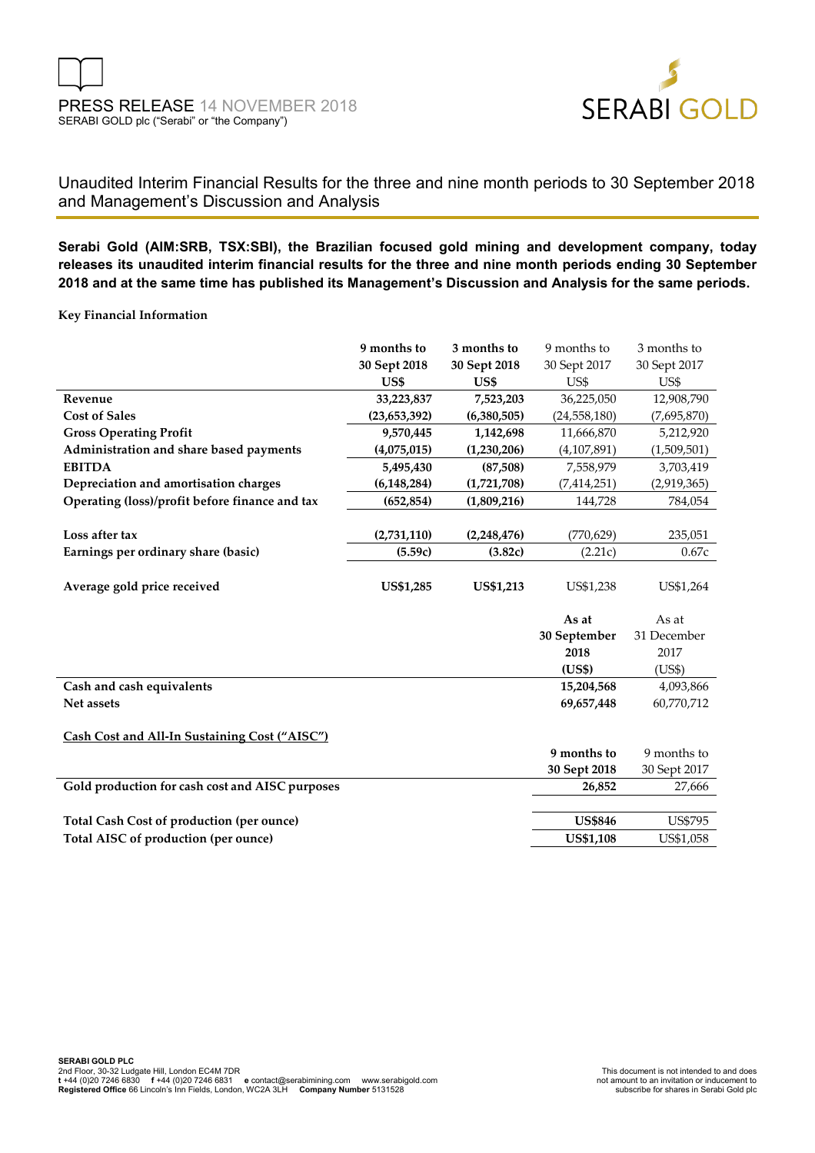

## Unaudited Interim Financial Results for the three and nine month periods to 30 September 2018 and Management's Discussion and Analysis

**Serabi Gold (AIM:SRB, TSX:SBI), the Brazilian focused gold mining and development company, today releases its unaudited interim financial results for the three and nine month periods ending 30 September 2018 and at the same time has published its Management's Discussion and Analysis for the same periods.**

**Key Financial Information**

|                                                 | 9 months to      | 3 months to      | 9 months to      | 3 months to    |
|-------------------------------------------------|------------------|------------------|------------------|----------------|
|                                                 | 30 Sept 2018     | 30 Sept 2018     | 30 Sept 2017     | 30 Sept 2017   |
|                                                 | US\$             | US\$             | US\$             | US\$           |
| Revenue                                         | 33,223,837       | 7,523,203        | 36,225,050       | 12,908,790     |
| <b>Cost of Sales</b>                            | (23, 653, 392)   | (6,380,505)      | (24, 558, 180)   | (7,695,870)    |
| <b>Gross Operating Profit</b>                   | 9,570,445        | 1,142,698        | 11,666,870       | 5,212,920      |
| Administration and share based payments         | (4,075,015)      | (1,230,206)      | (4, 107, 891)    | (1,509,501)    |
| <b>EBITDA</b>                                   | 5,495,430        | (87,508)         | 7,558,979        | 3,703,419      |
| Depreciation and amortisation charges           | (6, 148, 284)    | (1,721,708)      | (7, 414, 251)    | (2,919,365)    |
| Operating (loss)/profit before finance and tax  | (652, 854)       | (1,809,216)      | 144,728          | 784,054        |
|                                                 |                  |                  |                  |                |
| Loss after tax                                  | (2,731,110)      | (2,248,476)      | (770, 629)       | 235,051        |
| Earnings per ordinary share (basic)             | (5.59c)          | (3.82c)          | (2.21c)          | 0.67c          |
|                                                 |                  |                  |                  |                |
| Average gold price received                     | <b>US\$1,285</b> | <b>US\$1,213</b> | US\$1,238        | US\$1,264      |
|                                                 |                  |                  |                  |                |
|                                                 |                  |                  |                  |                |
|                                                 |                  |                  | As at            | As at          |
|                                                 |                  |                  | 30 September     | 31 December    |
|                                                 |                  |                  | 2018             | 2017           |
|                                                 |                  |                  | (US\$)           | (US\$)         |
| Cash and cash equivalents                       |                  |                  | 15,204,568       | 4,093,866      |
| Net assets                                      |                  |                  | 69,657,448       | 60,770,712     |
|                                                 |                  |                  |                  |                |
| Cash Cost and All-In Sustaining Cost ("AISC")   |                  |                  |                  |                |
|                                                 |                  |                  | 9 months to      | 9 months to    |
|                                                 |                  |                  | 30 Sept 2018     | 30 Sept 2017   |
| Gold production for cash cost and AISC purposes |                  |                  | 26,852           | 27,666         |
|                                                 |                  |                  |                  |                |
| Total Cash Cost of production (per ounce)       |                  |                  | <b>US\$846</b>   | <b>US\$795</b> |
| Total AISC of production (per ounce)            |                  |                  | <b>US\$1,108</b> | US\$1,058      |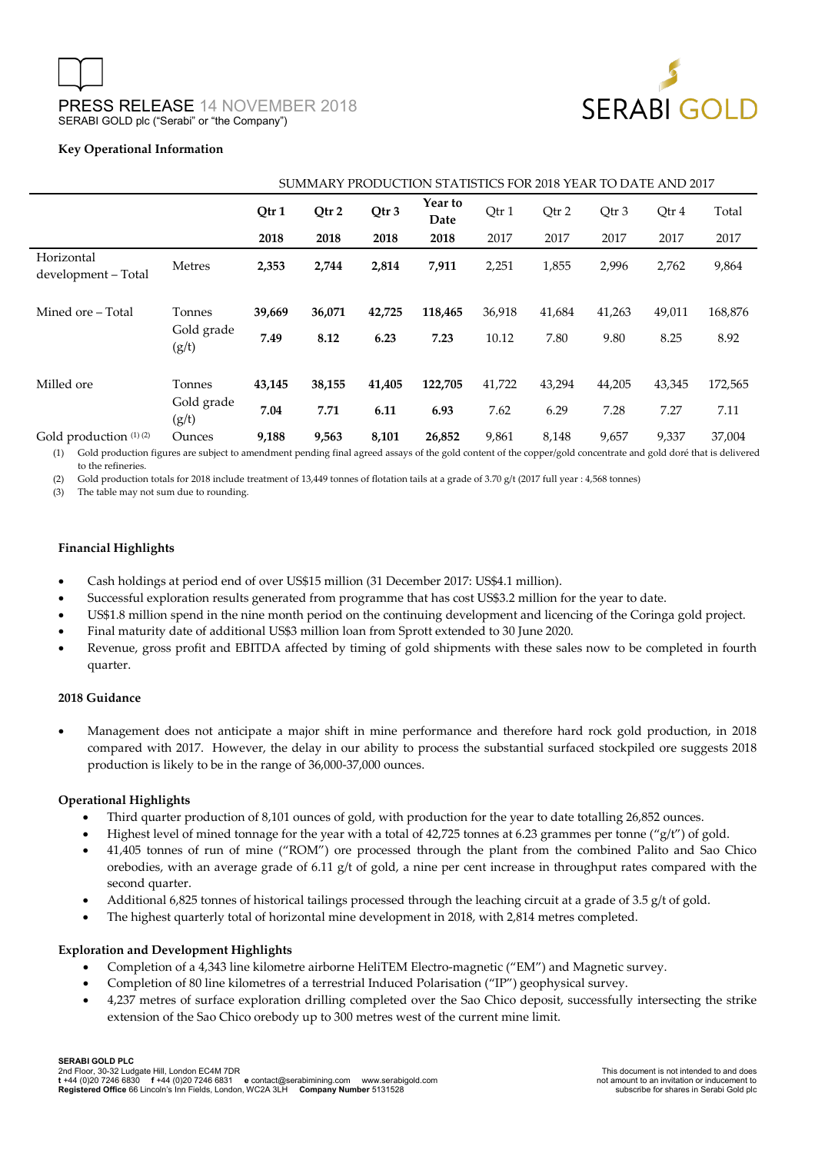

#### **Key Operational Information**

|                                   | SUMMARY PRODUCTION STATISTICS FOR 2018 YEAR TO DATE AND 2017 |        |        |        |                 |        |        |        |        |         |
|-----------------------------------|--------------------------------------------------------------|--------|--------|--------|-----------------|--------|--------|--------|--------|---------|
|                                   |                                                              | Qtr 1  | Qtr 2  | Qtr 3  | Year to<br>Date | Qtr 1  | Qtr 2  | Qtr 3  | Qtr 4  | Total   |
|                                   |                                                              | 2018   | 2018   | 2018   | 2018            | 2017   | 2017   | 2017   | 2017   | 2017    |
| Horizontal<br>development - Total | Metres                                                       | 2,353  | 2,744  | 2,814  | 7,911           | 2,251  | 1,855  | 2,996  | 2,762  | 9,864   |
| Mined ore – Total                 | Tonnes                                                       | 39,669 | 36,071 | 42,725 | 118,465         | 36,918 | 41,684 | 41,263 | 49,011 | 168,876 |
|                                   | Gold grade<br>(g/t)                                          | 7.49   | 8.12   | 6.23   | 7.23            | 10.12  | 7.80   | 9.80   | 8.25   | 8.92    |
| Milled ore                        | Tonnes                                                       | 43,145 | 38,155 | 41,405 | 122,705         | 41,722 | 43,294 | 44,205 | 43,345 | 172,565 |
|                                   | Gold grade<br>(g/t)                                          | 7.04   | 7.71   | 6.11   | 6.93            | 7.62   | 6.29   | 7.28   | 7.27   | 7.11    |
| Gold production (1) (2)           | Ounces                                                       | 9,188  | 9,563  | 8,101  | 26,852          | 9,861  | 8,148  | 9,657  | 9,337  | 37,004  |

(1) Gold production figures are subject to amendment pending final agreed assays of the gold content of the copper/gold concentrate and gold doré that is delivered to the refineries.

(2) Gold production totals for 2018 include treatment of 13,449 tonnes of flotation tails at a grade of 3.70 g/t (2017 full year : 4,568 tonnes)

(3) The table may not sum due to rounding.

#### **Financial Highlights**

- Cash holdings at period end of over US\$15 million (31 December 2017: US\$4.1 million).
- Successful exploration results generated from programme that has cost US\$3.2 million for the year to date.
- US\$1.8 million spend in the nine month period on the continuing development and licencing of the Coringa gold project.
- Final maturity date of additional US\$3 million loan from Sprott extended to 30 June 2020.
- Revenue, gross profit and EBITDA affected by timing of gold shipments with these sales now to be completed in fourth quarter.

#### **2018 Guidance**

• Management does not anticipate a major shift in mine performance and therefore hard rock gold production, in 2018 compared with 2017. However, the delay in our ability to process the substantial surfaced stockpiled ore suggests 2018 production is likely to be in the range of 36,000-37,000 ounces.

#### **Operational Highlights**

- Third quarter production of 8,101 ounces of gold, with production for the year to date totalling 26,852 ounces.
- Highest level of mined tonnage for the year with a total of  $42,725$  tonnes at 6.23 grammes per tonne ("g/t") of gold.
- 41,405 tonnes of run of mine ("ROM") ore processed through the plant from the combined Palito and Sao Chico orebodies, with an average grade of 6.11  $g/t$  of gold, a nine per cent increase in throughput rates compared with the second quarter.
- Additional 6,825 tonnes of historical tailings processed through the leaching circuit at a grade of 3.5 g/t of gold.
- The highest quarterly total of horizontal mine development in 2018, with 2,814 metres completed.

#### **Exploration and Development Highlights**

- Completion of a 4,343 line kilometre airborne HeliTEM Electro-magnetic ("EM") and Magnetic survey.
- Completion of 80 line kilometres of a terrestrial Induced Polarisation ("IP") geophysical survey.
- 4,237 metres of surface exploration drilling completed over the Sao Chico deposit, successfully intersecting the strike extension of the Sao Chico orebody up to 300 metres west of the current mine limit.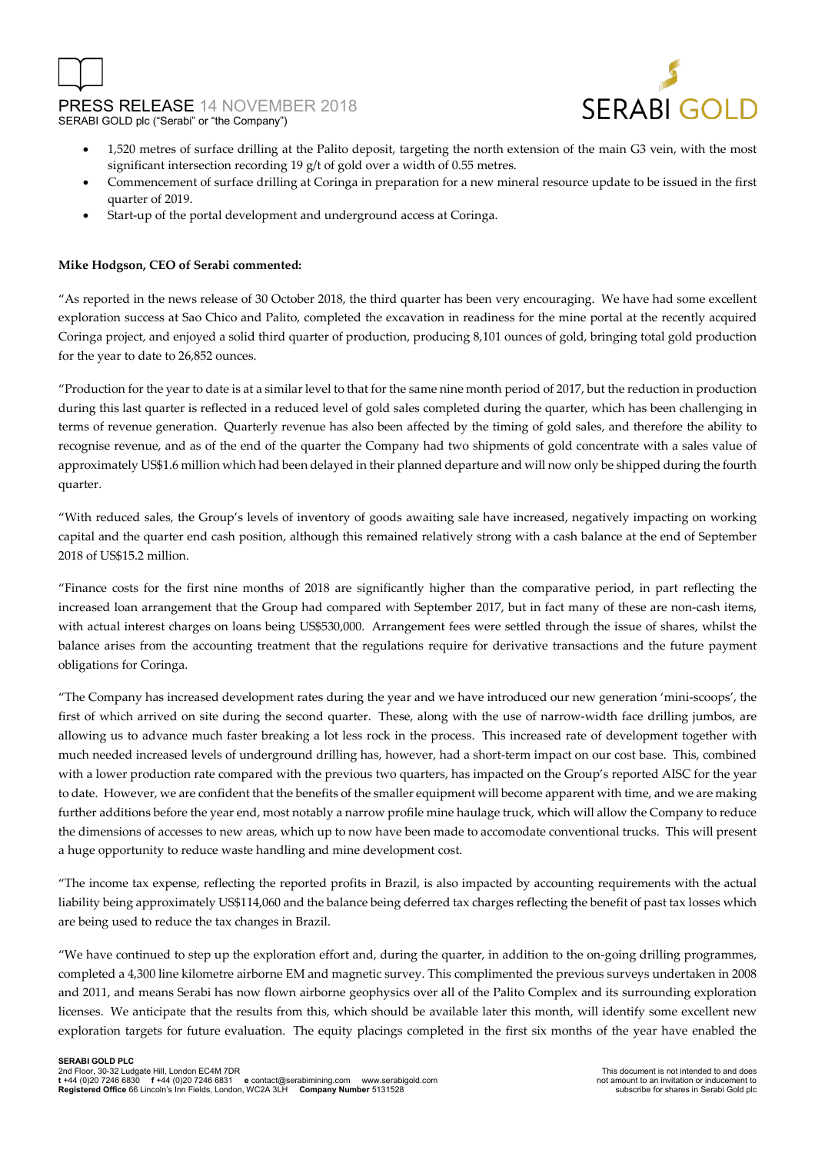



- 1,520 metres of surface drilling at the Palito deposit, targeting the north extension of the main G3 vein, with the most significant intersection recording 19 g/t of gold over a width of 0.55 metres.
- Commencement of surface drilling at Coringa in preparation for a new mineral resource update to be issued in the first quarter of 2019.
- Start-up of the portal development and underground access at Coringa.

### **Mike Hodgson, CEO of Serabi commented:**

"As reported in the news release of 30 October 2018, the third quarter has been very encouraging. We have had some excellent exploration success at Sao Chico and Palito, completed the excavation in readiness for the mine portal at the recently acquired Coringa project, and enjoyed a solid third quarter of production, producing 8,101 ounces of gold, bringing total gold production for the year to date to 26,852 ounces.

"Production for the year to date is at a similar level to that for the same nine month period of 2017, but the reduction in production during this last quarter is reflected in a reduced level of gold sales completed during the quarter, which has been challenging in terms of revenue generation. Quarterly revenue has also been affected by the timing of gold sales, and therefore the ability to recognise revenue, and as of the end of the quarter the Company had two shipments of gold concentrate with a sales value of approximately US\$1.6 million which had been delayed in their planned departure and will now only be shipped during the fourth quarter.

"With reduced sales, the Group's levels of inventory of goods awaiting sale have increased, negatively impacting on working capital and the quarter end cash position, although this remained relatively strong with a cash balance at the end of September 2018 of US\$15.2 million.

"Finance costs for the first nine months of 2018 are significantly higher than the comparative period, in part reflecting the increased loan arrangement that the Group had compared with September 2017, but in fact many of these are non-cash items, with actual interest charges on loans being US\$530,000. Arrangement fees were settled through the issue of shares, whilst the balance arises from the accounting treatment that the regulations require for derivative transactions and the future payment obligations for Coringa.

"The Company has increased development rates during the year and we have introduced our new generation 'mini-scoops', the first of which arrived on site during the second quarter. These, along with the use of narrow-width face drilling jumbos, are allowing us to advance much faster breaking a lot less rock in the process. This increased rate of development together with much needed increased levels of underground drilling has, however, had a short-term impact on our cost base. This, combined with a lower production rate compared with the previous two quarters, has impacted on the Group's reported AISC for the year to date. However, we are confident that the benefits of the smaller equipment will become apparent with time, and we are making further additions before the year end, most notably a narrow profile mine haulage truck, which will allow the Company to reduce the dimensions of accesses to new areas, which up to now have been made to accomodate conventional trucks. This will present a huge opportunity to reduce waste handling and mine development cost.

"The income tax expense, reflecting the reported profits in Brazil, is also impacted by accounting requirements with the actual liability being approximately US\$114,060 and the balance being deferred tax charges reflecting the benefit of past tax losses which are being used to reduce the tax changes in Brazil.

"We have continued to step up the exploration effort and, during the quarter, in addition to the on-going drilling programmes, completed a 4,300 line kilometre airborne EM and magnetic survey. This complimented the previous surveys undertaken in 2008 and 2011, and means Serabi has now flown airborne geophysics over all of the Palito Complex and its surrounding exploration licenses. We anticipate that the results from this, which should be available later this month, will identify some excellent new exploration targets for future evaluation. The equity placings completed in the first six months of the year have enabled the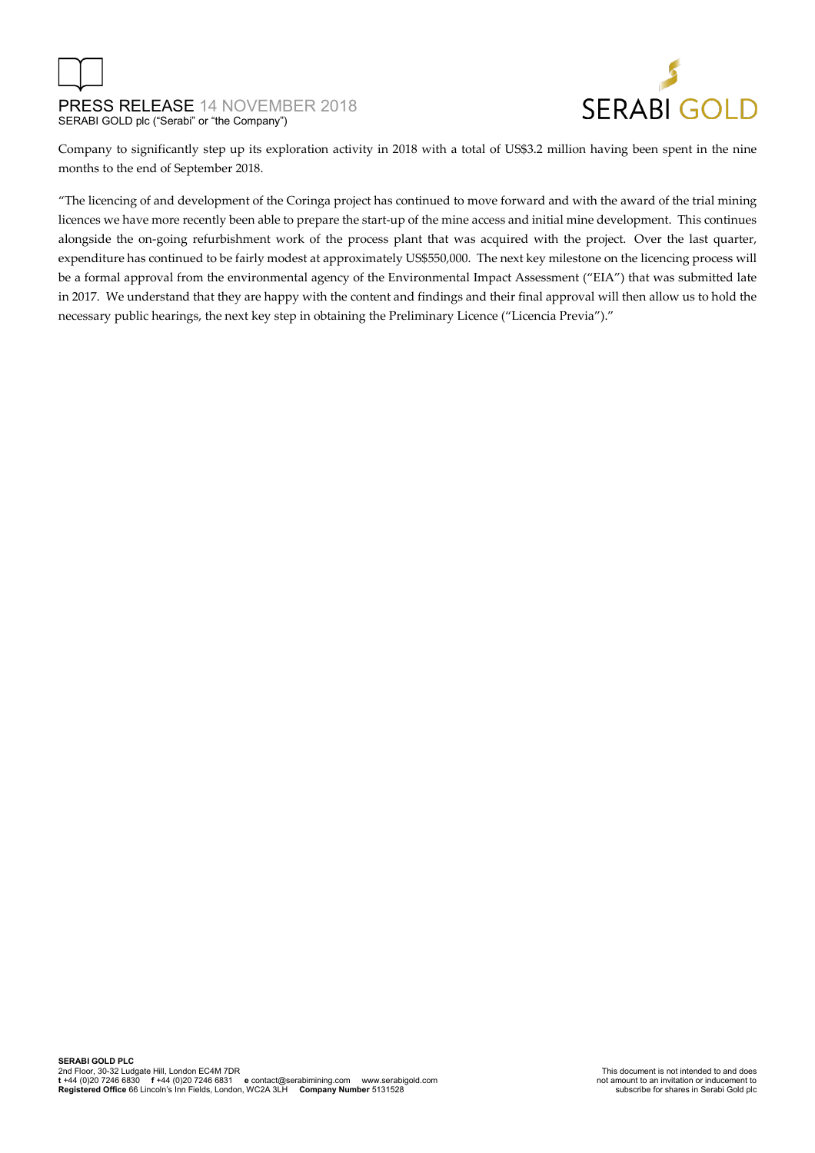

Company to significantly step up its exploration activity in 2018 with a total of US\$3.2 million having been spent in the nine months to the end of September 2018.

"The licencing of and development of the Coringa project has continued to move forward and with the award of the trial mining licences we have more recently been able to prepare the start-up of the mine access and initial mine development. This continues alongside the on-going refurbishment work of the process plant that was acquired with the project. Over the last quarter, expenditure has continued to be fairly modest at approximately US\$550,000. The next key milestone on the licencing process will be a formal approval from the environmental agency of the Environmental Impact Assessment ("EIA") that was submitted late in 2017. We understand that they are happy with the content and findings and their final approval will then allow us to hold the necessary public hearings, the next key step in obtaining the Preliminary Licence ("Licencia Previa")."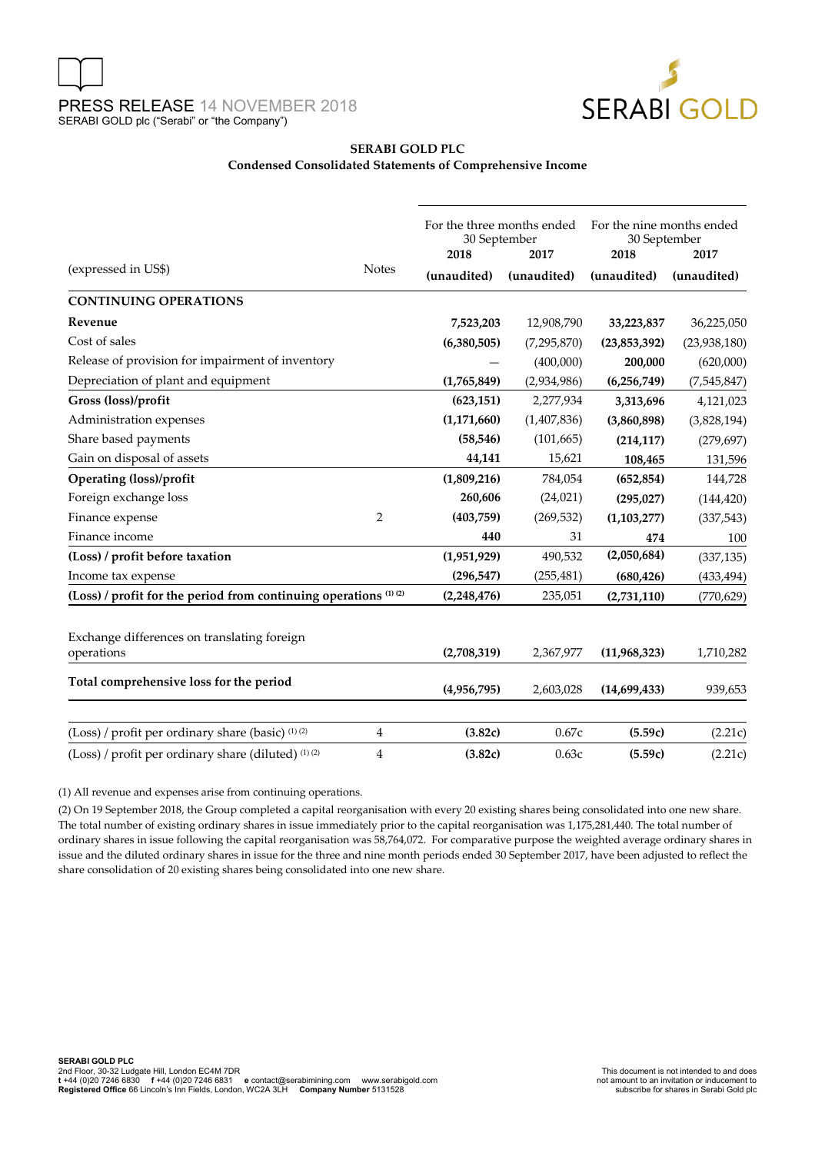

#### **SERABI GOLD PLC Condensed Consolidated Statements of Comprehensive Income**

|                                                                             |                | For the three months ended<br>30 September<br>2018<br>2017 |               | For the nine months ended<br>30 September<br>2018<br>2017 |               |
|-----------------------------------------------------------------------------|----------------|------------------------------------------------------------|---------------|-----------------------------------------------------------|---------------|
| (expressed in US\$)                                                         | <b>Notes</b>   | (unaudited)                                                | (unaudited)   | (unaudited)                                               | (unaudited)   |
| <b>CONTINUING OPERATIONS</b>                                                |                |                                                            |               |                                                           |               |
| Revenue                                                                     |                | 7,523,203                                                  | 12,908,790    | 33,223,837                                                | 36,225,050    |
| Cost of sales                                                               |                | (6,380,505)                                                | (7, 295, 870) | (23,853,392)                                              | (23,938,180)  |
| Release of provision for impairment of inventory                            |                |                                                            | (400,000)     | 200,000                                                   | (620,000)     |
| Depreciation of plant and equipment                                         |                | (1,765,849)                                                | (2,934,986)   | (6,256,749)                                               | (7, 545, 847) |
| Gross (loss)/profit                                                         |                | (623, 151)                                                 | 2,277,934     | 3,313,696                                                 | 4,121,023     |
| Administration expenses                                                     |                | (1, 171, 660)                                              | (1, 407, 836) | (3,860,898)                                               | (3,828,194)   |
| Share based payments                                                        |                | (58, 546)                                                  | (101, 665)    | (214, 117)                                                | (279, 697)    |
| Gain on disposal of assets                                                  |                | 44,141                                                     | 15,621        | 108,465                                                   | 131,596       |
| <b>Operating (loss)/profit</b>                                              |                | (1,809,216)                                                | 784,054       | (652, 854)                                                | 144,728       |
| Foreign exchange loss                                                       |                | 260,606                                                    | (24, 021)     | (295, 027)                                                | (144, 420)    |
| Finance expense                                                             | $\overline{2}$ | (403,759)                                                  | (269, 532)    | (1, 103, 277)                                             | (337, 543)    |
| Finance income                                                              |                | 440                                                        | 31            | 474                                                       | 100           |
| (Loss) / profit before taxation                                             |                | (1,951,929)                                                | 490,532       | (2,050,684)                                               | (337, 135)    |
| Income tax expense                                                          |                | (296, 547)                                                 | (255, 481)    | (680, 426)                                                | (433, 494)    |
| (Loss) / profit for the period from continuing operations <sup>(1)(2)</sup> |                | (2,248,476)                                                | 235,051       | (2,731,110)                                               | (770, 629)    |
| Exchange differences on translating foreign<br>operations                   |                | (2,708,319)                                                | 2,367,977     | (11,968,323)                                              | 1,710,282     |
| Total comprehensive loss for the period                                     |                | (4,956,795)                                                | 2,603,028     | (14,699,433)                                              | 939,653       |
| (Loss) / profit per ordinary share (basic) (1) (2)                          | $\overline{4}$ | (3.82c)                                                    | 0.67c         | (5.59c)                                                   | (2.21c)       |
| (Loss) / profit per ordinary share (diluted) (1) (2)                        | 4              | (3.82c)                                                    | 0.63c         | (5.59c)                                                   | (2.21c)       |

(1) All revenue and expenses arise from continuing operations.

(2) On 19 September 2018, the Group completed a capital reorganisation with every 20 existing shares being consolidated into one new share. The total number of existing ordinary shares in issue immediately prior to the capital reorganisation was 1,175,281,440. The total number of ordinary shares in issue following the capital reorganisation was 58,764,072. For comparative purpose the weighted average ordinary shares in issue and the diluted ordinary shares in issue for the three and nine month periods ended 30 September 2017, have been adjusted to reflect the share consolidation of 20 existing shares being consolidated into one new share.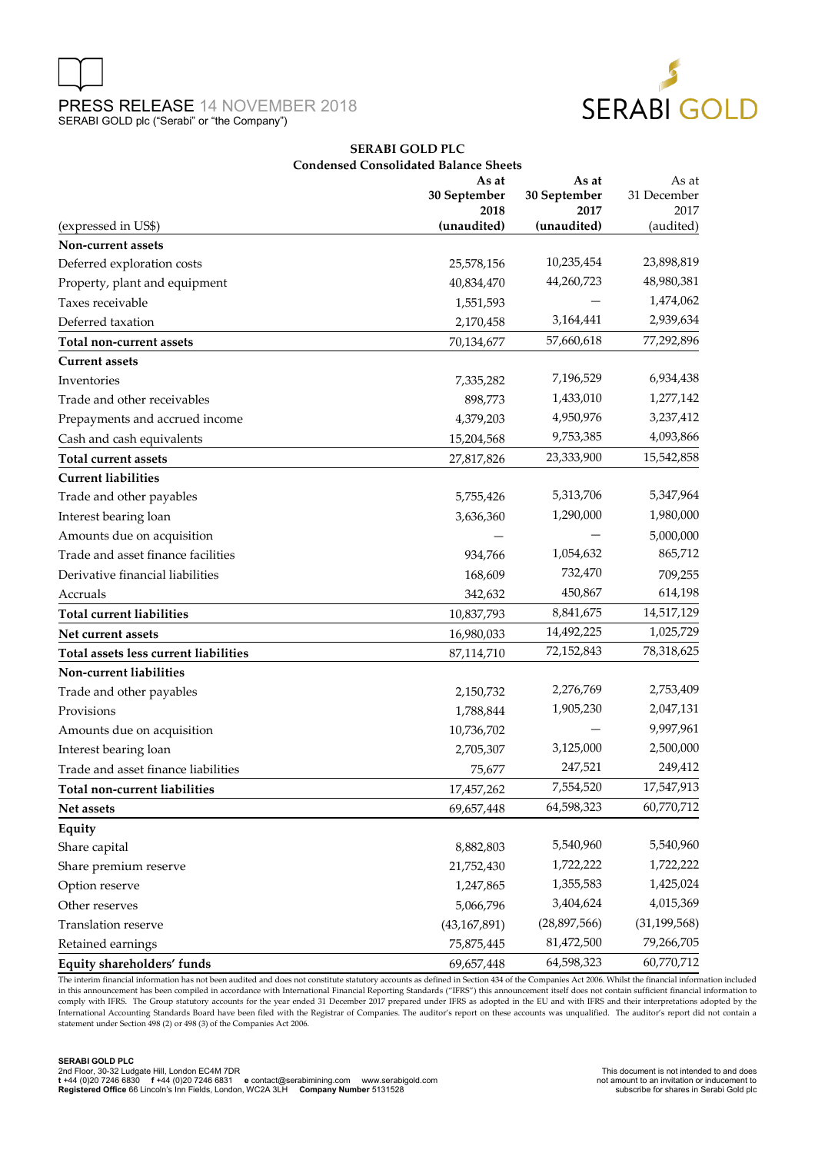



#### **SERABI GOLD PLC Condensed Consolidated Balance Sheets**

|                                       | As at<br>30 September<br>2018 | As at<br>30 September<br>2017 | As at<br>31 December<br>2017 |
|---------------------------------------|-------------------------------|-------------------------------|------------------------------|
| (expressed in US\$)                   | (unaudited)                   | (unaudited)                   | (audited)                    |
| Non-current assets                    |                               |                               |                              |
| Deferred exploration costs            | 25,578,156                    | 10,235,454                    | 23,898,819                   |
| Property, plant and equipment         | 40,834,470                    | 44,260,723                    | 48,980,381                   |
| Taxes receivable                      | 1,551,593                     |                               | 1,474,062                    |
| Deferred taxation                     | 2,170,458                     | 3,164,441                     | 2,939,634                    |
| Total non-current assets              | 70,134,677                    | 57,660,618                    | 77,292,896                   |
| <b>Current assets</b>                 |                               |                               |                              |
| Inventories                           | 7,335,282                     | 7,196,529                     | 6,934,438                    |
| Trade and other receivables           | 898,773                       | 1,433,010                     | 1,277,142                    |
| Prepayments and accrued income        | 4,379,203                     | 4,950,976                     | 3,237,412                    |
| Cash and cash equivalents             | 15,204,568                    | 9,753,385                     | 4,093,866                    |
| Total current assets                  | 27,817,826                    | 23,333,900                    | 15,542,858                   |
| <b>Current liabilities</b>            |                               |                               |                              |
| Trade and other payables              | 5,755,426                     | 5,313,706                     | 5,347,964                    |
| Interest bearing loan                 | 3,636,360                     | 1,290,000                     | 1,980,000                    |
| Amounts due on acquisition            |                               |                               | 5,000,000                    |
| Trade and asset finance facilities    | 934,766                       | 1,054,632                     | 865,712                      |
| Derivative financial liabilities      | 168,609                       | 732,470                       | 709,255                      |
| Accruals                              | 342,632                       | 450,867                       | 614,198                      |
| <b>Total current liabilities</b>      | 10,837,793                    | 8,841,675                     | 14,517,129                   |
| Net current assets                    | 16,980,033                    | 14,492,225                    | 1,025,729                    |
| Total assets less current liabilities | 87,114,710                    | 72,152,843                    | 78,318,625                   |
| Non-current liabilities               |                               |                               |                              |
| Trade and other payables              | 2,150,732                     | 2,276,769                     | 2,753,409                    |
| Provisions                            | 1,788,844                     | 1,905,230                     | 2,047,131                    |
| Amounts due on acquisition            | 10,736,702                    |                               | 9,997,961                    |
| Interest bearing loan                 | 2,705,307                     | 3,125,000                     | 2,500,000                    |
| Trade and asset finance liabilities   | 75,677                        | 247,521                       | 249,412                      |
| Total non-current liabilities         | 17,457,262                    | 7,554,520                     | 17,547,913                   |
| Net assets                            | 69,657,448                    | 64,598,323                    | 60,770,712                   |
| Equity                                |                               |                               |                              |
| Share capital                         | 8,882,803                     | 5,540,960                     | 5,540,960                    |
| Share premium reserve                 | 21,752,430                    | 1,722,222                     | 1,722,222                    |
| Option reserve                        | 1,247,865                     | 1,355,583                     | 1,425,024                    |
| Other reserves                        | 5,066,796                     | 3,404,624                     | 4,015,369                    |
| Translation reserve                   | (43, 167, 891)                | (28, 897, 566)                | (31, 199, 568)               |
| Retained earnings                     | 75,875,445                    | 81,472,500                    | 79,266,705                   |
| Equity shareholders' funds            | 69,657,448                    | 64,598,323                    | 60,770,712                   |

The interim financial information has not been audited and does not constitute statutory accounts as defined in Section 434 of the Companies Act 2006. Whilst the financial information included in this announcement has been compiled in accordance with International Financial Reporting Standards ("IFRS") this announcement itself does not contain sufficient financial information to comply with IFRS. The Group statutory accounts for the year ended 31 December 2017 prepared under IFRS as adopted in the EU and with IFRS and their interpretations adopted by the International Accounting Standards Board have been filed with the Registrar of Companies. The auditor's report on these accounts was unqualified. The auditor's report did not contain a statement under Section 498 (2) or 498 (3) of the Companies Act 2006.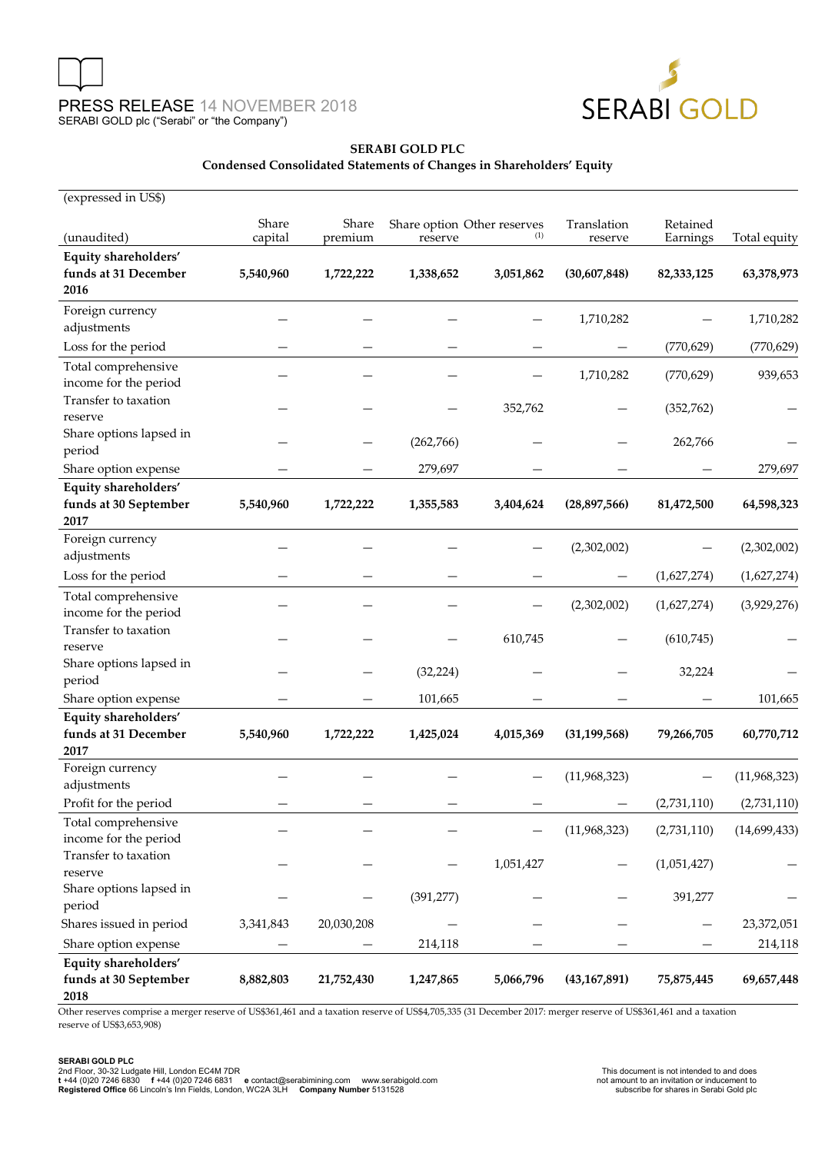



## **SERABI GOLD PLC**

#### **Condensed Consolidated Statements of Changes in Shareholders' Equity**

| (expressed in US\$)                                   |                  |                  |            |                                    |                        |                      |              |
|-------------------------------------------------------|------------------|------------------|------------|------------------------------------|------------------------|----------------------|--------------|
| (unaudited)                                           | Share<br>capital | Share<br>premium | reserve    | Share option Other reserves<br>(1) | Translation<br>reserve | Retained<br>Earnings | Total equity |
| Equity shareholders'                                  |                  |                  |            |                                    |                        |                      |              |
| funds at 31 December<br>2016                          | 5,540,960        | 1,722,222        | 1,338,652  | 3,051,862                          | (30,607,848)           | 82,333,125           | 63,378,973   |
| Foreign currency<br>adjustments                       |                  |                  |            |                                    | 1,710,282              |                      | 1,710,282    |
| Loss for the period                                   |                  |                  |            |                                    |                        | (770, 629)           | (770, 629)   |
| Total comprehensive<br>income for the period          |                  |                  |            |                                    | 1,710,282              | (770, 629)           | 939,653      |
| Transfer to taxation<br>reserve                       |                  |                  |            | 352,762                            |                        | (352, 762)           |              |
| Share options lapsed in<br>period                     |                  |                  | (262,766)  |                                    |                        | 262,766              |              |
| Share option expense                                  |                  |                  | 279,697    |                                    |                        |                      | 279,697      |
| Equity shareholders'<br>funds at 30 September<br>2017 | 5,540,960        | 1,722,222        | 1,355,583  | 3,404,624                          | (28,897,566)           | 81,472,500           | 64,598,323   |
| Foreign currency                                      |                  |                  |            |                                    |                        |                      |              |
| adjustments                                           |                  |                  |            |                                    | (2,302,002)            |                      | (2,302,002)  |
| Loss for the period                                   |                  |                  |            |                                    |                        | (1,627,274)          | (1,627,274)  |
| Total comprehensive<br>income for the period          |                  |                  |            |                                    | (2,302,002)            | (1,627,274)          | (3,929,276)  |
| Transfer to taxation<br>reserve                       |                  |                  |            | 610,745                            |                        | (610, 745)           |              |
| Share options lapsed in<br>period                     |                  |                  | (32, 224)  |                                    |                        | 32,224               |              |
| Share option expense                                  |                  |                  | 101,665    |                                    |                        |                      | 101,665      |
| Equity shareholders'<br>funds at 31 December<br>2017  | 5,540,960        | 1,722,222        | 1,425,024  | 4,015,369                          | (31, 199, 568)         | 79,266,705           | 60,770,712   |
| Foreign currency<br>adjustments                       |                  |                  |            |                                    | (11,968,323)           |                      | (11,968,323) |
| Profit for the period                                 |                  |                  |            |                                    |                        | (2,731,110)          | (2,731,110)  |
| Total comprehensive<br>income for the period          |                  |                  |            |                                    | (11,968,323)           | (2,731,110)          | (14,699,433) |
| Transfer to taxation<br>reserve                       |                  |                  |            | 1,051,427                          |                        | (1,051,427)          |              |
| Share options lapsed in<br>period                     |                  |                  | (391, 277) |                                    |                        | 391,277              |              |
| Shares issued in period                               | 3,341,843        | 20,030,208       |            |                                    |                        |                      | 23,372,051   |
| Share option expense                                  |                  |                  | 214,118    |                                    |                        |                      | 214,118      |
| Equity shareholders'<br>funds at 30 September<br>2018 | 8,882,803        | 21,752,430       | 1,247,865  | 5,066,796                          | (43, 167, 891)         | 75,875,445           | 69,657,448   |

Other reserves comprise a merger reserve of US\$361,461 and a taxation reserve of US\$4,705,335 (31 December 2017: merger reserve of US\$361,461 and a taxation reserve of US\$3,653,908)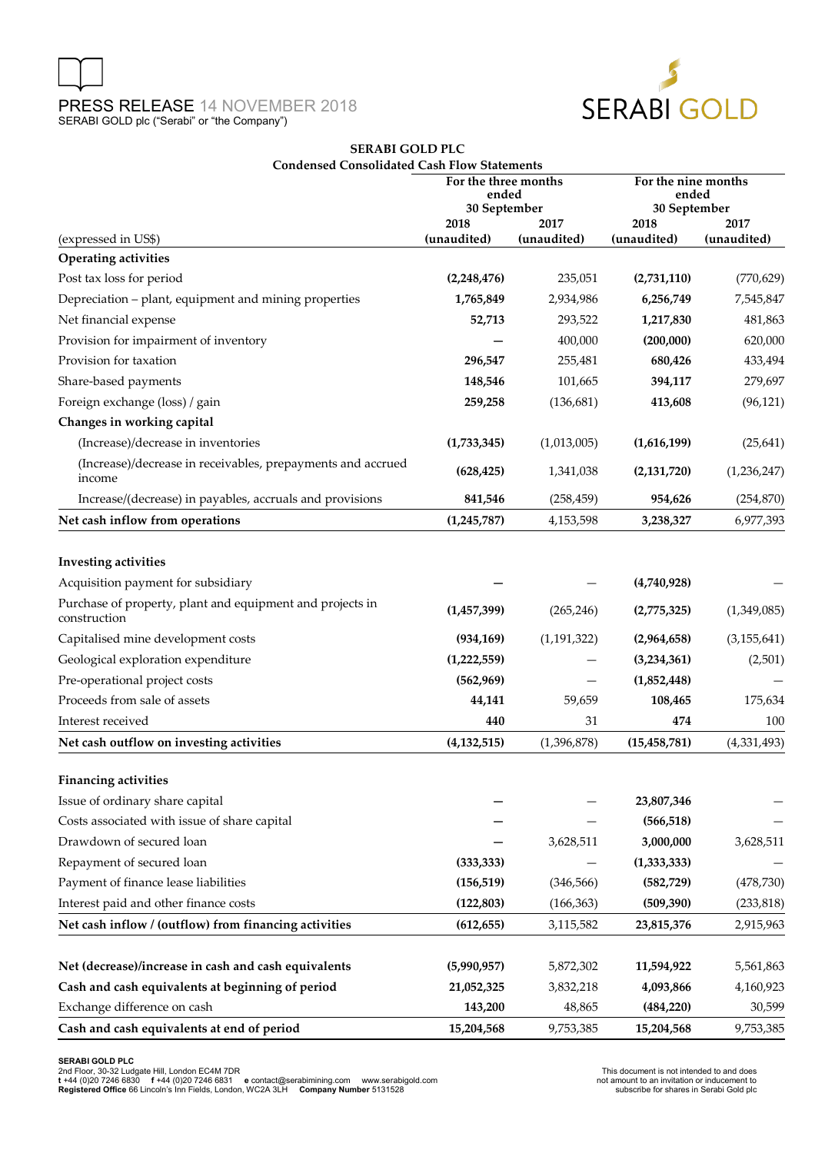

#### **SERABI GOLD PLC Condensed Consolidated Cash Flow Statements**

|                                                                           | For the three months<br>ended<br>30 September |               | For the nine months<br>ended<br>30 September |               |  |
|---------------------------------------------------------------------------|-----------------------------------------------|---------------|----------------------------------------------|---------------|--|
|                                                                           | 2018                                          | 2017          | 2018                                         | 2017          |  |
| (expressed in US\$)                                                       | (unaudited)                                   | (unaudited)   | (unaudited)                                  | (unaudited)   |  |
| <b>Operating activities</b>                                               |                                               |               |                                              |               |  |
| Post tax loss for period                                                  | (2,248,476)                                   | 235,051       | (2,731,110)                                  | (770, 629)    |  |
| Depreciation - plant, equipment and mining properties                     | 1,765,849                                     | 2,934,986     | 6,256,749                                    | 7,545,847     |  |
| Net financial expense                                                     | 52,713                                        | 293,522       | 1,217,830                                    | 481,863       |  |
| Provision for impairment of inventory                                     |                                               | 400,000       | (200,000)                                    | 620,000       |  |
| Provision for taxation                                                    | 296,547                                       | 255,481       | 680,426                                      | 433,494       |  |
| Share-based payments                                                      | 148,546                                       | 101,665       | 394,117                                      | 279,697       |  |
| Foreign exchange (loss) / gain                                            | 259,258                                       | (136, 681)    | 413,608                                      | (96, 121)     |  |
| Changes in working capital                                                |                                               |               |                                              |               |  |
| (Increase)/decrease in inventories                                        | (1,733,345)                                   | (1,013,005)   | (1,616,199)                                  | (25, 641)     |  |
| (Increase)/decrease in receivables, prepayments and accrued<br>income     | (628, 425)                                    | 1,341,038     | (2, 131, 720)                                | (1,236,247)   |  |
| Increase/(decrease) in payables, accruals and provisions                  | 841,546                                       | (258, 459)    | 954,626                                      | (254, 870)    |  |
| Net cash inflow from operations                                           | (1,245,787)                                   | 4,153,598     | 3,238,327                                    | 6,977,393     |  |
| <b>Investing activities</b>                                               |                                               |               |                                              |               |  |
| Acquisition payment for subsidiary                                        |                                               |               | (4,740,928)                                  |               |  |
| Purchase of property, plant and equipment and projects in<br>construction | (1, 457, 399)                                 | (265, 246)    | (2,775,325)                                  | (1,349,085)   |  |
| Capitalised mine development costs                                        | (934, 169)                                    | (1, 191, 322) | (2,964,658)                                  | (3, 155, 641) |  |
| Geological exploration expenditure                                        | (1,222,559)                                   |               | (3,234,361)                                  | (2,501)       |  |
| Pre-operational project costs                                             | (562,969)                                     |               | (1,852,448)                                  |               |  |
| Proceeds from sale of assets                                              | 44,141                                        | 59,659        | 108,465                                      | 175,634       |  |
| Interest received                                                         | 440                                           | 31            | 474                                          | 100           |  |
| Net cash outflow on investing activities                                  | (4, 132, 515)                                 | (1,396,878)   | (15, 458, 781)                               | (4,331,493)   |  |
| <b>Financing activities</b>                                               |                                               |               |                                              |               |  |
| Issue of ordinary share capital                                           |                                               |               | 23,807,346                                   |               |  |
| Costs associated with issue of share capital                              |                                               |               | (566, 518)                                   |               |  |
| Drawdown of secured loan                                                  |                                               | 3,628,511     | 3,000,000                                    | 3,628,511     |  |
| Repayment of secured loan                                                 | (333, 333)                                    |               | (1, 333, 333)                                |               |  |
| Payment of finance lease liabilities                                      | (156, 519)                                    | (346, 566)    | (582, 729)                                   | (478, 730)    |  |
| Interest paid and other finance costs                                     | (122, 803)                                    | (166, 363)    | (509, 390)                                   | (233, 818)    |  |
| Net cash inflow / (outflow) from financing activities                     | (612, 655)                                    | 3,115,582     | 23,815,376                                   | 2,915,963     |  |
|                                                                           |                                               |               |                                              |               |  |
| Net (decrease)/increase in cash and cash equivalents                      | (5,990,957)                                   | 5,872,302     | 11,594,922                                   | 5,561,863     |  |
| Cash and cash equivalents at beginning of period                          | 21,052,325                                    | 3,832,218     | 4,093,866                                    | 4,160,923     |  |
| Exchange difference on cash                                               | 143,200                                       | 48,865        | (484, 220)                                   | 30,599        |  |
| Cash and cash equivalents at end of period                                | 15,204,568                                    | 9,753,385     | 15,204,568                                   | 9,753,385     |  |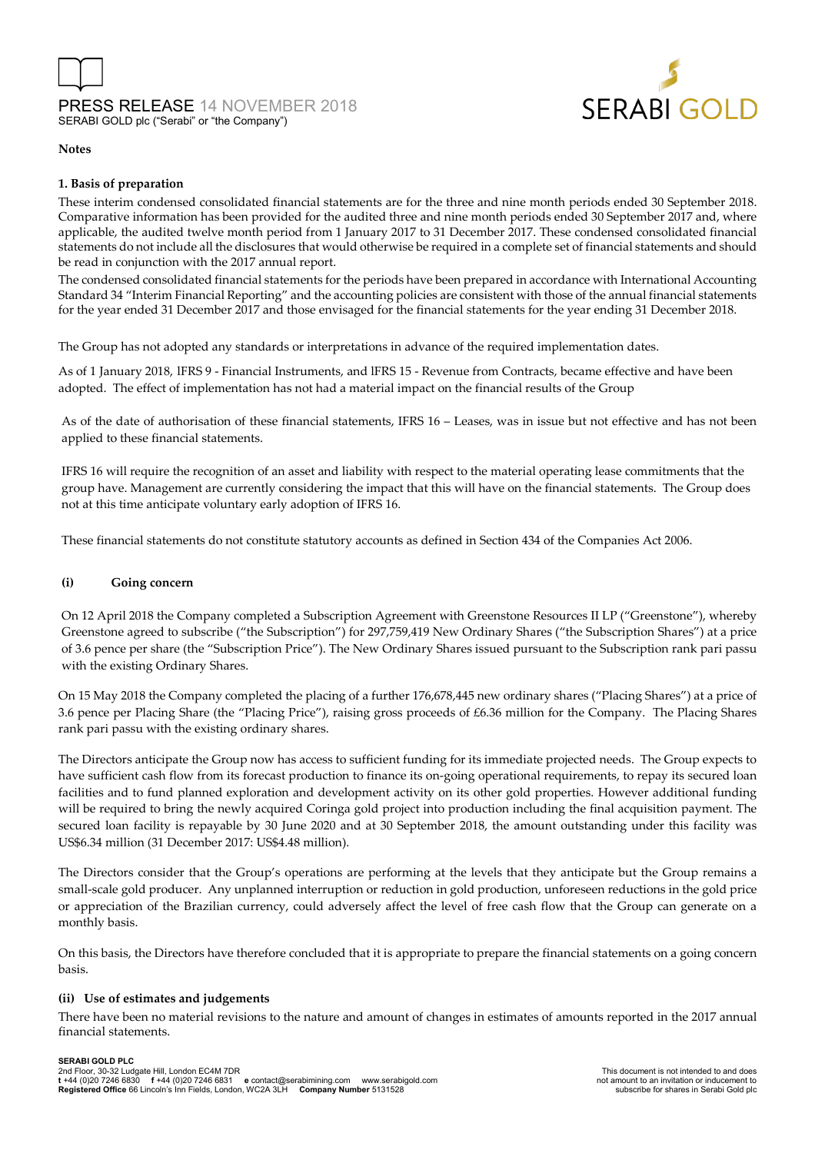



#### **Notes**

#### **1. Basis of preparation**

These interim condensed consolidated financial statements are for the three and nine month periods ended 30 September 2018. Comparative information has been provided for the audited three and nine month periods ended 30 September 2017 and, where applicable, the audited twelve month period from 1 January 2017 to 31 December 2017. These condensed consolidated financial statements do not include all the disclosures that would otherwise be required in a complete set of financial statements and should be read in conjunction with the 2017 annual report.

The condensed consolidated financial statements for the periods have been prepared in accordance with International Accounting Standard 34 "Interim Financial Reporting" and the accounting policies are consistent with those of the annual financial statements for the year ended 31 December 2017 and those envisaged for the financial statements for the year ending 31 December 2018.

The Group has not adopted any standards or interpretations in advance of the required implementation dates.

As of 1 January 2018, lFRS 9 - Financial Instruments, and lFRS 15 - Revenue from Contracts, became effective and have been adopted. The effect of implementation has not had a material impact on the financial results of the Group

As of the date of authorisation of these financial statements, IFRS 16 – Leases, was in issue but not effective and has not been applied to these financial statements.

IFRS 16 will require the recognition of an asset and liability with respect to the material operating lease commitments that the group have. Management are currently considering the impact that this will have on the financial statements. The Group does not at this time anticipate voluntary early adoption of IFRS 16.

These financial statements do not constitute statutory accounts as defined in Section 434 of the Companies Act 2006.

#### **(i) Going concern**

On 12 April 2018 the Company completed a Subscription Agreement with Greenstone Resources II LP ("Greenstone"), whereby Greenstone agreed to subscribe ("the Subscription") for 297,759,419 New Ordinary Shares ("the Subscription Shares") at a price of 3.6 pence per share (the "Subscription Price"). The New Ordinary Shares issued pursuant to the Subscription rank pari passu with the existing Ordinary Shares.

On 15 May 2018 the Company completed the placing of a further 176,678,445 new ordinary shares ("Placing Shares") at a price of 3.6 pence per Placing Share (the "Placing Price"), raising gross proceeds of £6.36 million for the Company. The Placing Shares rank pari passu with the existing ordinary shares.

The Directors anticipate the Group now has access to sufficient funding for its immediate projected needs. The Group expects to have sufficient cash flow from its forecast production to finance its on-going operational requirements, to repay its secured loan facilities and to fund planned exploration and development activity on its other gold properties. However additional funding will be required to bring the newly acquired Coringa gold project into production including the final acquisition payment. The secured loan facility is repayable by 30 June 2020 and at 30 September 2018, the amount outstanding under this facility was US\$6.34 million (31 December 2017: US\$4.48 million).

The Directors consider that the Group's operations are performing at the levels that they anticipate but the Group remains a small-scale gold producer. Any unplanned interruption or reduction in gold production, unforeseen reductions in the gold price or appreciation of the Brazilian currency, could adversely affect the level of free cash flow that the Group can generate on a monthly basis.

On this basis, the Directors have therefore concluded that it is appropriate to prepare the financial statements on a going concern basis.

#### **(ii) Use of estimates and judgements**

There have been no material revisions to the nature and amount of changes in estimates of amounts reported in the 2017 annual financial statements.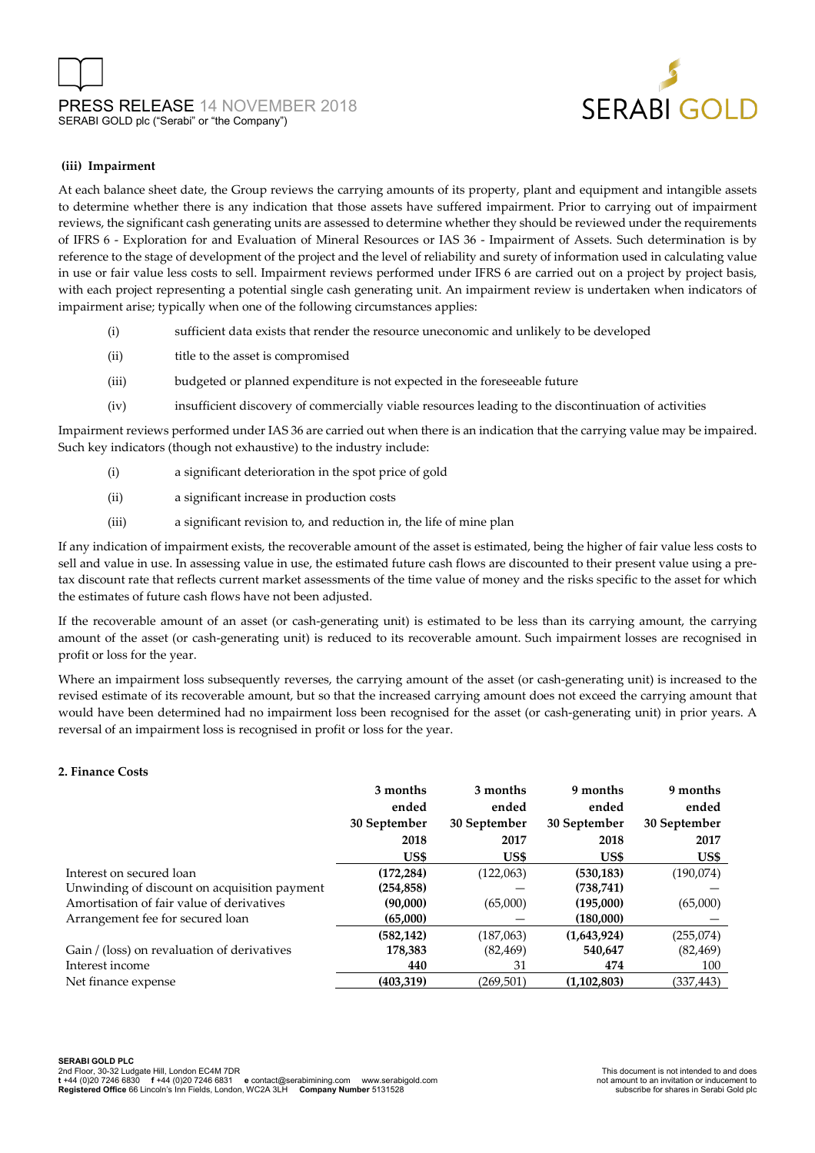

#### **(iii) Impairment**

At each balance sheet date, the Group reviews the carrying amounts of its property, plant and equipment and intangible assets to determine whether there is any indication that those assets have suffered impairment. Prior to carrying out of impairment reviews, the significant cash generating units are assessed to determine whether they should be reviewed under the requirements of IFRS 6 - Exploration for and Evaluation of Mineral Resources or IAS 36 - Impairment of Assets. Such determination is by reference to the stage of development of the project and the level of reliability and surety of information used in calculating value in use or fair value less costs to sell. Impairment reviews performed under IFRS 6 are carried out on a project by project basis, with each project representing a potential single cash generating unit. An impairment review is undertaken when indicators of impairment arise; typically when one of the following circumstances applies:

- (i) sufficient data exists that render the resource uneconomic and unlikely to be developed
- (ii) title to the asset is compromised
- (iii) budgeted or planned expenditure is not expected in the foreseeable future
- (iv) insufficient discovery of commercially viable resources leading to the discontinuation of activities

Impairment reviews performed under IAS 36 are carried out when there is an indication that the carrying value may be impaired. Such key indicators (though not exhaustive) to the industry include:

- (i) a significant deterioration in the spot price of gold
- (ii) a significant increase in production costs
- (iii) a significant revision to, and reduction in, the life of mine plan

If any indication of impairment exists, the recoverable amount of the asset is estimated, being the higher of fair value less costs to sell and value in use. In assessing value in use, the estimated future cash flows are discounted to their present value using a pretax discount rate that reflects current market assessments of the time value of money and the risks specific to the asset for which the estimates of future cash flows have not been adjusted.

If the recoverable amount of an asset (or cash-generating unit) is estimated to be less than its carrying amount, the carrying amount of the asset (or cash-generating unit) is reduced to its recoverable amount. Such impairment losses are recognised in profit or loss for the year.

Where an impairment loss subsequently reverses, the carrying amount of the asset (or cash-generating unit) is increased to the revised estimate of its recoverable amount, but so that the increased carrying amount does not exceed the carrying amount that would have been determined had no impairment loss been recognised for the asset (or cash-generating unit) in prior years. A reversal of an impairment loss is recognised in profit or loss for the year.

#### **2. Finance Costs**

| 3 months     | 3 months     | 9 months     | 9 months     |
|--------------|--------------|--------------|--------------|
| ended        | ended        | ended        | ended        |
| 30 September | 30 September | 30 September | 30 September |
| 2018         | 2017         | 2018         | 2017         |
| US\$         | US\$         | US\$         | US\$         |
| (172, 284)   | (122,063)    | (530, 183)   | (190,074)    |
| (254, 858)   |              | (738, 741)   |              |
| (90,000)     | (65,000)     | (195,000)    | (65,000)     |
| (65,000)     |              | (180,000)    |              |
| (582, 142)   | (187,063)    | (1,643,924)  | (255,074)    |
| 178,383      | (82, 469)    | 540,647      | (82, 469)    |
| 440          | 31           | 474          | 100          |
| (403, 319)   | (269, 501)   | (1,102,803)  | (337,443)    |
|              |              |              |              |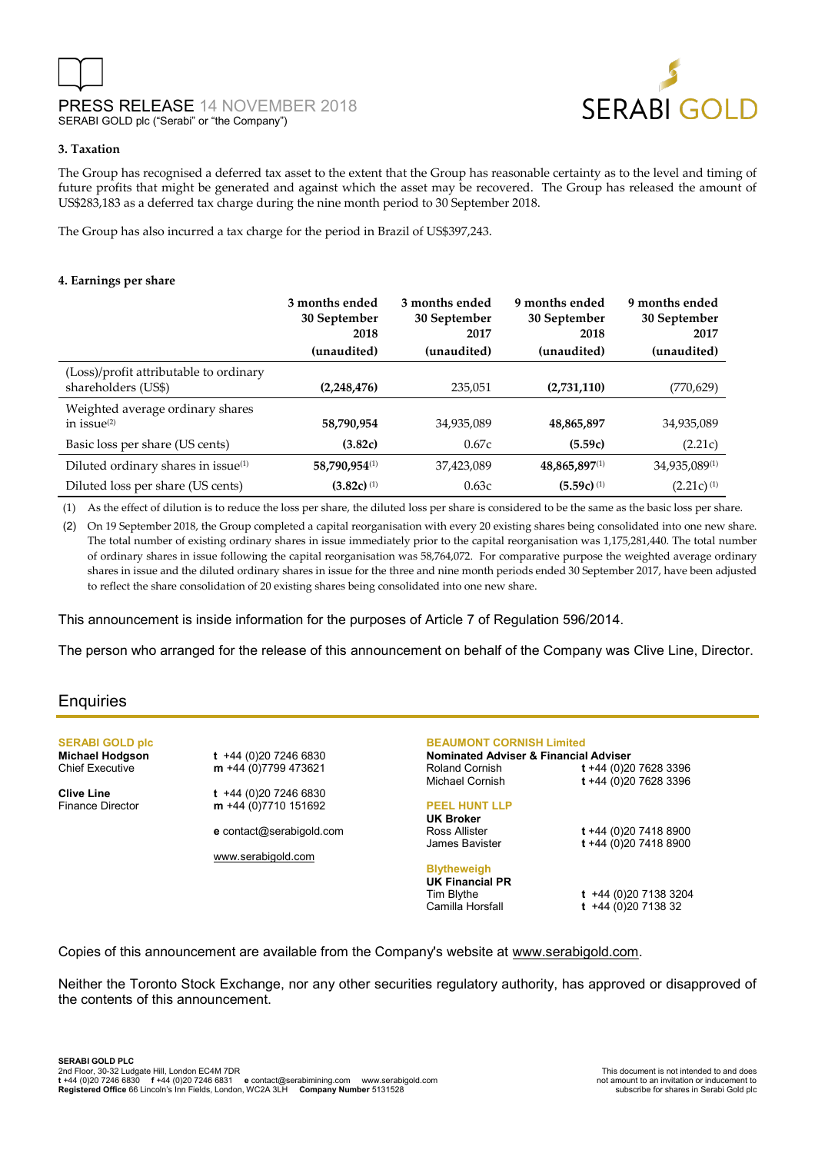

#### **3. Taxation**

The Group has recognised a deferred tax asset to the extent that the Group has reasonable certainty as to the level and timing of future profits that might be generated and against which the asset may be recovered. The Group has released the amount of US\$283,183 as a deferred tax charge during the nine month period to 30 September 2018.

The Group has also incurred a tax charge for the period in Brazil of US\$397,243.

#### **4. Earnings per share**

|                                                               | 3 months ended<br>30 September<br>2018<br>(unaudited) | 3 months ended<br>30 September<br>2017<br>(unaudited) | 9 months ended<br>30 September<br>2018<br>(unaudited) | 9 months ended<br>30 September<br>2017<br>(unaudited) |
|---------------------------------------------------------------|-------------------------------------------------------|-------------------------------------------------------|-------------------------------------------------------|-------------------------------------------------------|
| (Loss)/profit attributable to ordinary<br>shareholders (US\$) | (2,248,476)                                           | 235,051                                               | (2,731,110)                                           | (770, 629)                                            |
| Weighted average ordinary shares<br>in issue $(2)$            | 58,790,954                                            | 34,935,089                                            | 48,865,897                                            | 34,935,089                                            |
| Basic loss per share (US cents)                               | (3.82c)                                               | 0.67c                                                 | (5.59c)                                               | (2.21c)                                               |
| Diluted ordinary shares in issue(1)                           | 58,790,954(1)                                         | 37,423,089                                            | 48,865,897(1)                                         | 34,935,089(1)                                         |
| Diluted loss per share (US cents)                             | $(3.82c)$ <sup>(1)</sup>                              | 0.63c                                                 | $(5.59c)$ <sup>(1)</sup>                              | $(2.21c)^{(1)}$                                       |

(1) As the effect of dilution is to reduce the loss per share, the diluted loss per share is considered to be the same as the basic loss per share.

(2) On 19 September 2018, the Group completed a capital reorganisation with every 20 existing shares being consolidated into one new share. The total number of existing ordinary shares in issue immediately prior to the capital reorganisation was 1,175,281,440. The total number of ordinary shares in issue following the capital reorganisation was 58,764,072. For comparative purpose the weighted average ordinary shares in issue and the diluted ordinary shares in issue for the three and nine month periods ended 30 September 2017, have been adjusted to reflect the share consolidation of 20 existing shares being consolidated into one new share.

This announcement is inside information for the purposes of Article 7 of Regulation 596/2014.

The person who arranged for the release of this announcement on behalf of the Company was Clive Line, Director.

## **Enquiries**

**SERABI GOLD plc**

**Michael Hodgson t** +44 (0)20 7246 6830<br>Chief Executive **m** +44 (0)7799 473621 m +44 (0)7799 473621

**Clive Line t +44** (0)20 7246 6830<br>**Finance Director m** +44 (0)7710 151692 m +44 (0)7710 151692

**e** contact@serabigold.com

[www.serabigold.com](http://www.serabigold.com/)

**BEAUMONT CORNISH Limited**

**Nominated Adviser & Financial Adviser** Roland Cornish **t** +44 (0)20 7628 3396 Michael Cornish **t** +44 (0)20 7628 3396

## **PEEL HUNT LLP**

**UK Broker** Ross Allister **t** +44 (0)20 7418 8900

## **Blytheweigh**

**UK Financial PR**

Tim Blythe **t** +44 (0)20 7138 3204 Camilla Horsfall **t** +44 (0)20 7138 32

James Bavister **t** +44 (0)20 7418 8900

Copies of this announcement are available from the Company's website at [www.serabigold.com.](http://www.serabigold.com/)

Neither the Toronto Stock Exchange, nor any other securities regulatory authority, has approved or disapproved of the contents of this announcement.